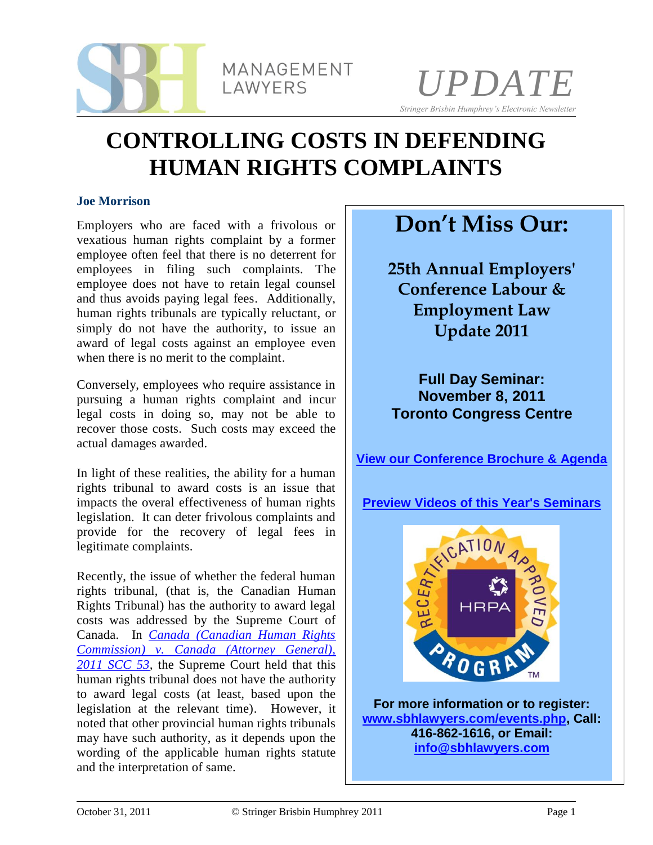



# **CONTROLLING COSTS IN DEFENDING HUMAN RIGHTS COMPLAINTS**

#### **Joe Morrison**

Employers who are faced with a frivolous or vexatious human rights complaint by a former employee often feel that there is no deterrent for employees in filing such complaints. The employee does not have to retain legal counsel and thus avoids paying legal fees. Additionally, human rights tribunals are typically reluctant, or simply do not have the authority, to issue an award of legal costs against an employee even when there is no merit to the complaint.

Conversely, employees who require assistance in pursuing a human rights complaint and incur legal costs in doing so, may not be able to recover those costs. Such costs may exceed the actual damages awarded.

In light of these realities, the ability for a human rights tribunal to award costs is an issue that impacts the overal effectiveness of human rights legislation. It can deter frivolous complaints and provide for the recovery of legal fees in legitimate complaints.

Recently, the issue of whether the federal human rights tribunal, (that is, the Canadian Human Rights Tribunal) has the authority to award legal costs was addressed by the Supreme Court of Canada. In *[Canada \(Canadian Human Rights](http://www.canlii.org/en/ca/scc/doc/2011/2011scc53/2011scc53.html)  [Commission\) v. Canada](http://www.canlii.org/en/ca/scc/doc/2011/2011scc53/2011scc53.html) (Attorney General), [2011 SCC 53,](http://www.canlii.org/en/ca/scc/doc/2011/2011scc53/2011scc53.html)* the Supreme Court held that this human rights tribunal does not have the authority to award legal costs (at least, based upon the legislation at the relevant time). However, it noted that other provincial human rights tribunals may have such authority, as it depends upon the wording of the applicable human rights statute and the interpretation of same.

## **Don't Miss Our:**

**25th Annual Employers' Conference Labour & Employment Law Update 2011**

**Full Day Seminar: November 8, 2011 Toronto Congress Centre**

**[View our Conference Brochure & Agenda](http://www.sbhlawyers.com/uploads/25th%20Annual%20Employers%20Conference%202011%20(Brochure)(1).pdf)**



**For more information or to register: [www.sbhlawyers.com/events.php,](http://www.sbhlawyers.com/events.php) Call: 416-862-1616, or Email: [info@sbhlawyers.com](mailto:sbhevent@sbhlawyers.com)**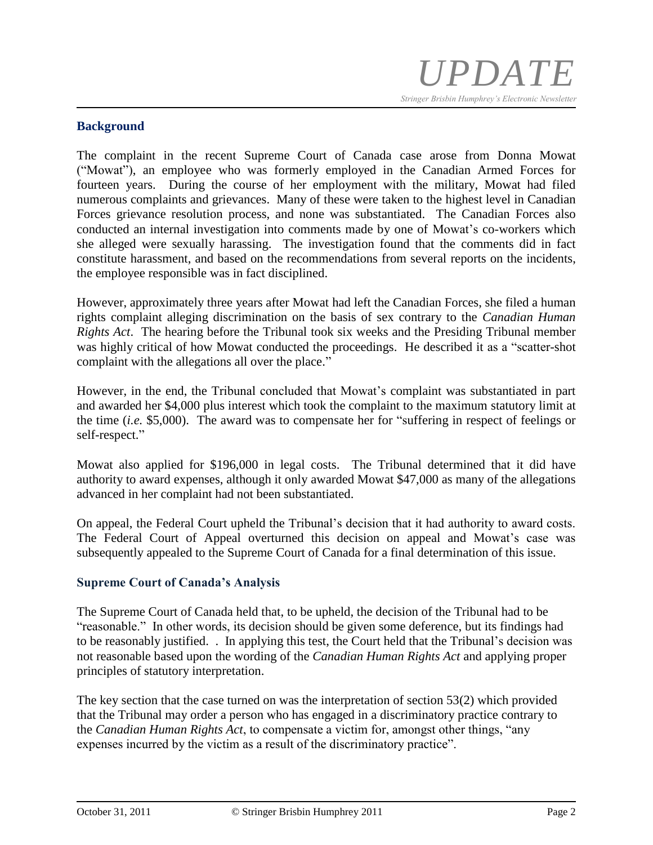### **Background**

The complaint in the recent Supreme Court of Canada case arose from Donna Mowat ("Mowat"), an employee who was formerly employed in the Canadian Armed Forces for fourteen years. During the course of her employment with the military, Mowat had filed numerous complaints and grievances. Many of these were taken to the highest level in Canadian Forces grievance resolution process, and none was substantiated. The Canadian Forces also conducted an internal investigation into comments made by one of Mowat's co-workers which she alleged were sexually harassing. The investigation found that the comments did in fact constitute harassment, and based on the recommendations from several reports on the incidents, the employee responsible was in fact disciplined.

However, approximately three years after Mowat had left the Canadian Forces, she filed a human rights complaint alleging discrimination on the basis of sex contrary to the *Canadian Human Rights Act*. The hearing before the Tribunal took six weeks and the Presiding Tribunal member was highly critical of how Mowat conducted the proceedings. He described it as a "scatter-shot complaint with the allegations all over the place."

However, in the end, the Tribunal concluded that Mowat's complaint was substantiated in part and awarded her \$4,000 plus interest which took the complaint to the maximum statutory limit at the time (*i.e.* \$5,000). The award was to compensate her for "suffering in respect of feelings or self-respect."

Mowat also applied for \$196,000 in legal costs. The Tribunal determined that it did have authority to award expenses, although it only awarded Mowat \$47,000 as many of the allegations advanced in her complaint had not been substantiated.

On appeal, the Federal Court upheld the Tribunal's decision that it had authority to award costs. The Federal Court of Appeal overturned this decision on appeal and Mowat's case was subsequently appealed to the Supreme Court of Canada for a final determination of this issue.

#### **Supreme Court of Canada's Analysis**

The Supreme Court of Canada held that, to be upheld, the decision of the Tribunal had to be "reasonable." In other words, its decision should be given some deference, but its findings had to be reasonably justified. . In applying this test, the Court held that the Tribunal's decision was not reasonable based upon the wording of the *Canadian Human Rights Act* and applying proper principles of statutory interpretation.

The key section that the case turned on was the interpretation of section 53(2) which provided that the Tribunal may order a person who has engaged in a discriminatory practice contrary to the *Canadian Human Rights Act*, to compensate a victim for, amongst other things, "any expenses incurred by the victim as a result of the discriminatory practice".